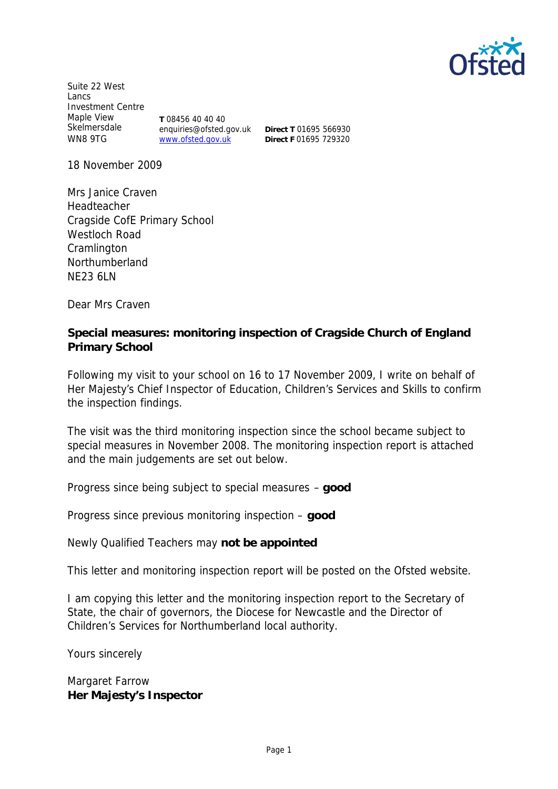

Suite 22 West Lancs Investment Centre Maple View Skelmersdale WN8 9TG **T** 08456 40 40 40 enquiries@ofsted.gov.uk www.ofsted.gov.uk

**Direct T** 01695 566930 **Direct F** 01695 729320

18 November 2009

Mrs Janice Craven Headteacher Cragside CofE Primary School Westloch Road **Cramlington** Northumberland NE23 6LN

Dear Mrs Craven

**Special measures: monitoring inspection of Cragside Church of England Primary School**

Following my visit to your school on 16 to 17 November 2009, I write on behalf of Her Majesty's Chief Inspector of Education, Children's Services and Skills to confirm the inspection findings.

The visit was the third monitoring inspection since the school became subject to special measures in November 2008. The monitoring inspection report is attached and the main judgements are set out below.

Progress since being subject to special measures – **good**

Progress since previous monitoring inspection – **good**

Newly Qualified Teachers may **not be appointed**

This letter and monitoring inspection report will be posted on the Ofsted website.

I am copying this letter and the monitoring inspection report to the Secretary of State, the chair of governors, the Diocese for Newcastle and the Director of Children's Services for Northumberland local authority.

Yours sincerely

Margaret Farrow **Her Majesty's Inspector**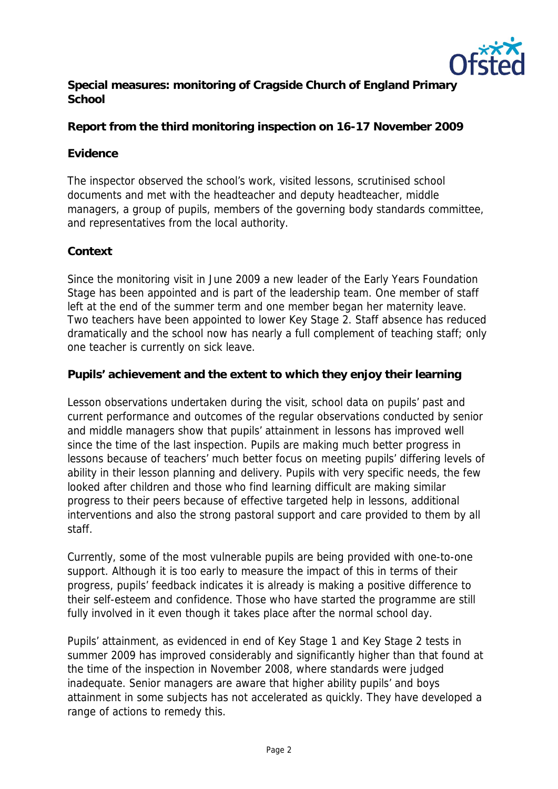

**Special measures: monitoring of Cragside Church of England Primary School**

**Report from the third monitoring inspection on 16-17 November 2009**

# **Evidence**

The inspector observed the school's work, visited lessons, scrutinised school documents and met with the headteacher and deputy headteacher, middle managers, a group of pupils, members of the governing body standards committee, and representatives from the local authority.

## **Context**

Since the monitoring visit in June 2009 a new leader of the Early Years Foundation Stage has been appointed and is part of the leadership team. One member of staff left at the end of the summer term and one member began her maternity leave. Two teachers have been appointed to lower Key Stage 2. Staff absence has reduced dramatically and the school now has nearly a full complement of teaching staff; only one teacher is currently on sick leave.

**Pupils' achievement and the extent to which they enjoy their learning**

Lesson observations undertaken during the visit, school data on pupils' past and current performance and outcomes of the regular observations conducted by senior and middle managers show that pupils' attainment in lessons has improved well since the time of the last inspection. Pupils are making much better progress in lessons because of teachers' much better focus on meeting pupils' differing levels of ability in their lesson planning and delivery. Pupils with very specific needs, the few looked after children and those who find learning difficult are making similar progress to their peers because of effective targeted help in lessons, additional interventions and also the strong pastoral support and care provided to them by all staff.

Currently, some of the most vulnerable pupils are being provided with one-to-one support. Although it is too early to measure the impact of this in terms of their progress, pupils' feedback indicates it is already is making a positive difference to their self-esteem and confidence. Those who have started the programme are still fully involved in it even though it takes place after the normal school day.

Pupils' attainment, as evidenced in end of Key Stage 1 and Key Stage 2 tests in summer 2009 has improved considerably and significantly higher than that found at the time of the inspection in November 2008, where standards were judged inadequate. Senior managers are aware that higher ability pupils' and boys attainment in some subjects has not accelerated as quickly. They have developed a range of actions to remedy this.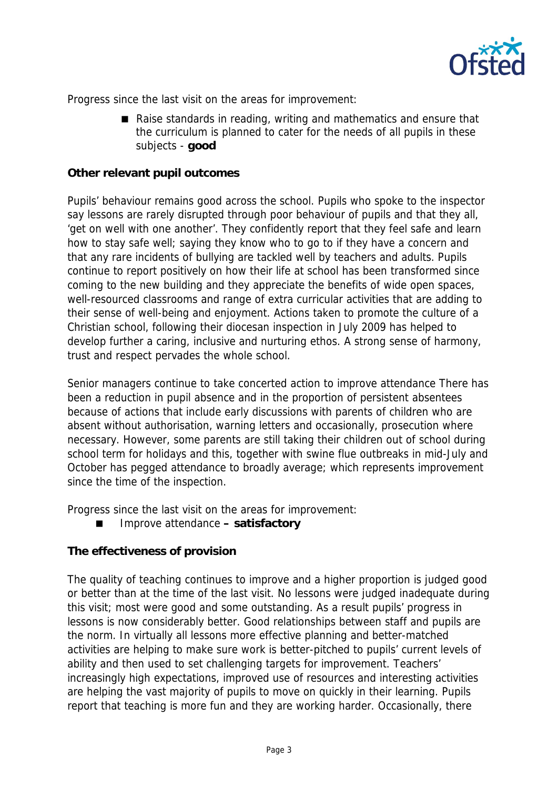

Progress since the last visit on the areas for improvement:

Raise standards in reading, writing and mathematics and ensure that the curriculum is planned to cater for the needs of all pupils in these subjects - **good**

### **Other relevant pupil outcomes**

Pupils' behaviour remains good across the school. Pupils who spoke to the inspector say lessons are rarely disrupted through poor behaviour of pupils and that they all, 'get on well with one another'. They confidently report that they feel safe and learn how to stay safe well; saying they know who to go to if they have a concern and that any rare incidents of bullying are tackled well by teachers and adults. Pupils continue to report positively on how their life at school has been transformed since coming to the new building and they appreciate the benefits of wide open spaces, well-resourced classrooms and range of extra curricular activities that are adding to their sense of well-being and enjoyment. Actions taken to promote the culture of a Christian school, following their diocesan inspection in July 2009 has helped to develop further a caring, inclusive and nurturing ethos. A strong sense of harmony, trust and respect pervades the whole school.

Senior managers continue to take concerted action to improve attendance There has been a reduction in pupil absence and in the proportion of persistent absentees because of actions that include early discussions with parents of children who are absent without authorisation, warning letters and occasionally, prosecution where necessary. However, some parents are still taking their children out of school during school term for holidays and this, together with swine flue outbreaks in mid-July and October has pegged attendance to broadly average; which represents improvement since the time of the inspection.

Progress since the last visit on the areas for improvement:

■ Improve attendance – satisfactory

**The effectiveness of provision**

The quality of teaching continues to improve and a higher proportion is judged good or better than at the time of the last visit. No lessons were judged inadequate during this visit; most were good and some outstanding. As a result pupils' progress in lessons is now considerably better. Good relationships between staff and pupils are the norm. In virtually all lessons more effective planning and better-matched activities are helping to make sure work is better-pitched to pupils' current levels of ability and then used to set challenging targets for improvement. Teachers' increasingly high expectations, improved use of resources and interesting activities are helping the vast majority of pupils to move on quickly in their learning. Pupils report that teaching is more fun and they are working harder. Occasionally, there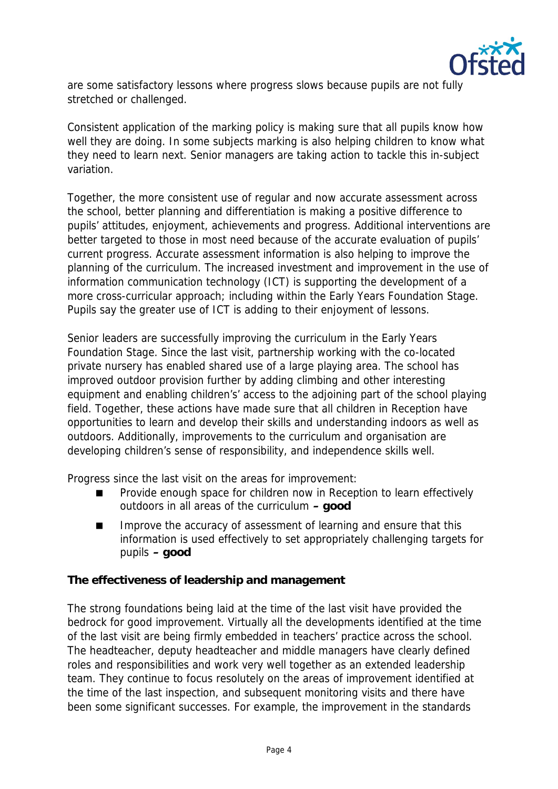

are some satisfactory lessons where progress slows because pupils are not fully stretched or challenged.

Consistent application of the marking policy is making sure that all pupils know how well they are doing. In some subjects marking is also helping children to know what they need to learn next. Senior managers are taking action to tackle this in-subject variation.

Together, the more consistent use of regular and now accurate assessment across the school, better planning and differentiation is making a positive difference to pupils' attitudes, enjoyment, achievements and progress. Additional interventions are better targeted to those in most need because of the accurate evaluation of pupils' current progress. Accurate assessment information is also helping to improve the planning of the curriculum. The increased investment and improvement in the use of information communication technology (ICT) is supporting the development of a more cross-curricular approach; including within the Early Years Foundation Stage. Pupils say the greater use of ICT is adding to their enjoyment of lessons.

Senior leaders are successfully improving the curriculum in the Early Years Foundation Stage. Since the last visit, partnership working with the co-located private nursery has enabled shared use of a large playing area. The school has improved outdoor provision further by adding climbing and other interesting equipment and enabling children's' access to the adjoining part of the school playing field. Together, these actions have made sure that all children in Reception have opportunities to learn and develop their skills and understanding indoors as well as outdoors. Additionally, improvements to the curriculum and organisation are developing children's sense of responsibility, and independence skills well.

Progress since the last visit on the areas for improvement:

- Provide enough space for children now in Reception to learn effectively outdoors in all areas of the curriculum **– good**
- Improve the accuracy of assessment of learning and ensure that this information is used effectively to set appropriately challenging targets for pupils **– good**

**The effectiveness of leadership and management**

The strong foundations being laid at the time of the last visit have provided the bedrock for good improvement. Virtually all the developments identified at the time of the last visit are being firmly embedded in teachers' practice across the school. The headteacher, deputy headteacher and middle managers have clearly defined roles and responsibilities and work very well together as an extended leadership team. They continue to focus resolutely on the areas of improvement identified at the time of the last inspection, and subsequent monitoring visits and there have been some significant successes. For example, the improvement in the standards